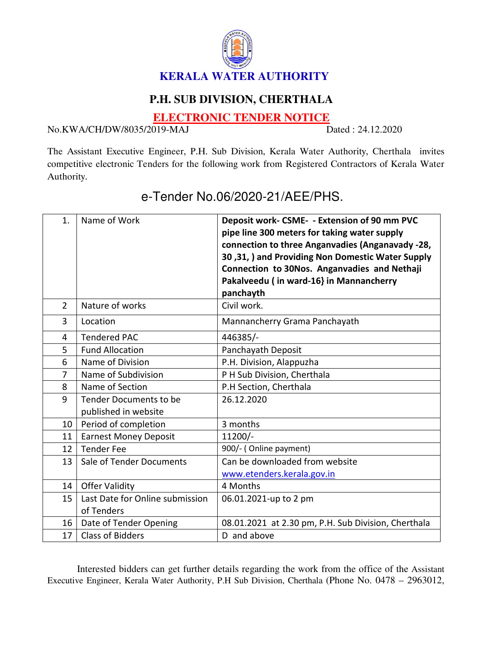

## **P.H. SUB DIVISION, CHERTHALA**

**ELECTRONIC TENDER NOTICE**

No.KWA/CH/DW/8035/2019-MAJ Dated : 24.12.2020

The Assistant Executive Engineer, P.H. Sub Division, Kerala Water Authority, Cherthala invites competitive electronic Tenders for the following work from Registered Contractors of Kerala Water Authority.

| 1.             | Name of Work                                      | Deposit work- CSME- - Extension of 90 mm PVC<br>pipe line 300 meters for taking water supply<br>connection to three Anganvadies (Anganavady -28,<br>30,31, ) and Providing Non Domestic Water Supply<br>Connection to 30Nos. Anganvadies and Nethaji<br>Pakalveedu (in ward-16} in Mannancherry<br>panchayth |
|----------------|---------------------------------------------------|--------------------------------------------------------------------------------------------------------------------------------------------------------------------------------------------------------------------------------------------------------------------------------------------------------------|
| $\overline{2}$ | Nature of works                                   | Civil work.                                                                                                                                                                                                                                                                                                  |
| 3              | Location                                          | Mannancherry Grama Panchayath                                                                                                                                                                                                                                                                                |
| $\overline{4}$ | <b>Tendered PAC</b>                               | 446385/-                                                                                                                                                                                                                                                                                                     |
| 5              | <b>Fund Allocation</b>                            | Panchayath Deposit                                                                                                                                                                                                                                                                                           |
| 6              | Name of Division                                  | P.H. Division, Alappuzha                                                                                                                                                                                                                                                                                     |
| $\overline{7}$ | Name of Subdivision                               | P H Sub Division, Cherthala                                                                                                                                                                                                                                                                                  |
| 8              | Name of Section                                   | P.H Section, Cherthala                                                                                                                                                                                                                                                                                       |
| 9              | Tender Documents to be<br>published in website    | 26.12.2020                                                                                                                                                                                                                                                                                                   |
| 10             | Period of completion                              | 3 months                                                                                                                                                                                                                                                                                                     |
| 11             | <b>Earnest Money Deposit</b>                      | $11200/-$                                                                                                                                                                                                                                                                                                    |
| 12             | <b>Tender Fee</b>                                 | 900/- (Online payment)                                                                                                                                                                                                                                                                                       |
| 13             | Sale of Tender Documents                          | Can be downloaded from website<br>www.etenders.kerala.gov.in                                                                                                                                                                                                                                                 |
| 14             | <b>Offer Validity</b>                             | 4 Months                                                                                                                                                                                                                                                                                                     |
| 15             | Last Date for Online submission<br>of Tenders     | 06.01.2021-up to 2 pm                                                                                                                                                                                                                                                                                        |
| 16             |                                                   |                                                                                                                                                                                                                                                                                                              |
| 17             | Date of Tender Opening<br><b>Class of Bidders</b> | 08.01.2021 at 2.30 pm, P.H. Sub Division, Cherthala<br>D and above                                                                                                                                                                                                                                           |
|                |                                                   |                                                                                                                                                                                                                                                                                                              |

e-Tender No.06/2020-21/AEE/PHS.

Interested bidders can get further details regarding the work from the office of the Assistant Executive Engineer, Kerala Water Authority, P.H Sub Division, Cherthala (Phone No. 0478 – 2963012,